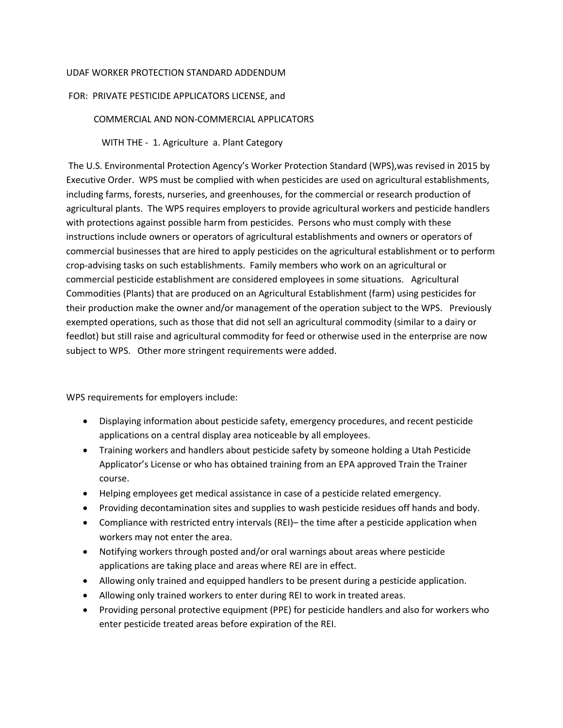## UDAF WORKER PROTECTION STANDARD ADDENDUM

## FOR: PRIVATE PESTICIDE APPLICATORS LICENSE, and

## COMMERCIAL AND NON-COMMERCIAL APPLICATORS

WITH THE - 1. Agriculture a. Plant Category

The U.S. Environmental Protection Agency's Worker Protection Standard (WPS),was revised in 2015 by Executive Order. WPS must be complied with when pesticides are used on agricultural establishments, including farms, forests, nurseries, and greenhouses, for the commercial or research production of agricultural plants. The WPS requires employers to provide agricultural workers and pesticide handlers with protections against possible harm from pesticides. Persons who must comply with these instructions include owners or operators of agricultural establishments and owners or operators of commercial businesses that are hired to apply pesticides on the agricultural establishment or to perform crop-advising tasks on such establishments. Family members who work on an agricultural or commercial pesticide establishment are considered employees in some situations. Agricultural Commodities (Plants) that are produced on an Agricultural Establishment (farm) using pesticides for their production make the owner and/or management of the operation subject to the WPS. Previously exempted operations, such as those that did not sell an agricultural commodity (similar to a dairy or feedlot) but still raise and agricultural commodity for feed or otherwise used in the enterprise are now subject to WPS. Other more stringent requirements were added.

WPS requirements for employers include:

- Displaying information about pesticide safety, emergency procedures, and recent pesticide applications on a central display area noticeable by all employees.
- Training workers and handlers about pesticide safety by someone holding a Utah Pesticide Applicator's License or who has obtained training from an EPA approved Train the Trainer course.
- Helping employees get medical assistance in case of a pesticide related emergency.
- Providing decontamination sites and supplies to wash pesticide residues off hands and body.
- Compliance with restricted entry intervals (REI)– the time after a pesticide application when workers may not enter the area.
- Notifying workers through posted and/or oral warnings about areas where pesticide applications are taking place and areas where REI are in effect.
- Allowing only trained and equipped handlers to be present during a pesticide application.
- Allowing only trained workers to enter during REI to work in treated areas.
- Providing personal protective equipment (PPE) for pesticide handlers and also for workers who enter pesticide treated areas before expiration of the REI.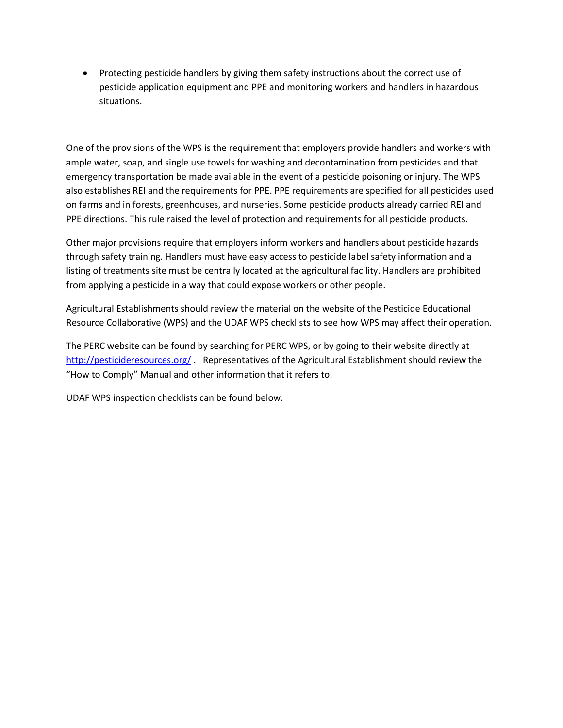Protecting pesticide handlers by giving them safety instructions about the correct use of pesticide application equipment and PPE and monitoring workers and handlers in hazardous situations.

One of the provisions of the WPS is the requirement that employers provide handlers and workers with ample water, soap, and single use towels for washing and decontamination from pesticides and that emergency transportation be made available in the event of a pesticide poisoning or injury. The WPS also establishes REI and the requirements for PPE. PPE requirements are specified for all pesticides used on farms and in forests, greenhouses, and nurseries. Some pesticide products already carried REI and PPE directions. This rule raised the level of protection and requirements for all pesticide products.

Other major provisions require that employers inform workers and handlers about pesticide hazards through safety training. Handlers must have easy access to pesticide label safety information and a listing of treatments site must be centrally located at the agricultural facility. Handlers are prohibited from applying a pesticide in a way that could expose workers or other people.

Agricultural Establishments should review the material on the website of the Pesticide Educational Resource Collaborative (WPS) and the UDAF WPS checklists to see how WPS may affect their operation.

The PERC website can be found by searching for PERC WPS, or by going to their website directly at <http://pesticideresources.org/> . Representatives of the Agricultural Establishment should review the "How to Comply" Manual and other information that it refers to.

UDAF WPS inspection checklists can be found below.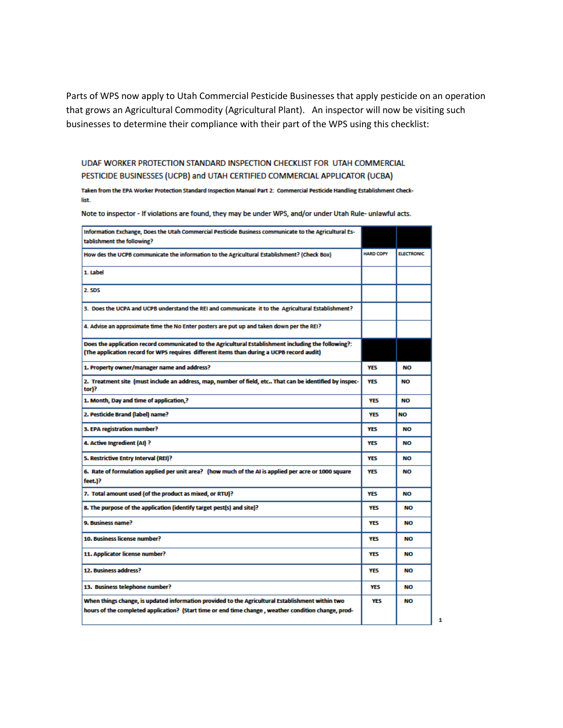Parts of WPS now apply to Utah Commercial Pesticide Businesses that apply pesticide on an operation that grows an Agricultural Commodity (Agricultural Plant). An inspector will now be visiting such businesses to determine their compliance with their part of the WPS using this checklist:

UDAF WORKER PROTECTION STANDARD INSPECTION CHECKLIST FOR UTAH COMMERCIAL PESTICIDE BUSINESSES (UCPB) and UTAH CERTIFIED COMMERCIAL APPLICATOR (UCBA)

Taken from the EPA Worker Protection Standard Inspection Manual Part 2: Commercial Pesticide Handling Establishment Checklist.

Note to inspector - If violations are found, they may be under WPS, and/or under Utah Rule- unlawful acts.

| Information Exchange, Does the Utah Commercial Pesticide Business communicate to the Agricultural Es-<br>tablishment the following?                                                                      |                  |                   |
|----------------------------------------------------------------------------------------------------------------------------------------------------------------------------------------------------------|------------------|-------------------|
| How des the UCPB communicate the information to the Agricultural Establishment? (Check Box)                                                                                                              | <b>HARD COPY</b> | <b>ELECTRONIC</b> |
| 1. Label                                                                                                                                                                                                 |                  |                   |
| 2. SDS                                                                                                                                                                                                   |                  |                   |
| 3. Does the UCPA and UCPB understand the REI and communicate it to the Agricultural Establishment?                                                                                                       |                  |                   |
| 4. Advise an approximate time the No Enter posters are put up and taken down per the REI?                                                                                                                |                  |                   |
| Does the application record communicated to the Agricultural Establishment including the following?:<br>(The application record for WPS requires  different items than during a UCPB record audit)       |                  |                   |
| 1. Property owner/manager name and address?                                                                                                                                                              | <b>YES</b>       | NO                |
| 2. Treatment site (must include an address, map, number of field, etc That can be identified by inspec-<br>tor)?                                                                                         | <b>YES</b>       | <b>NO</b>         |
| 1. Month, Day and time of application,?                                                                                                                                                                  | <b>YES</b>       | NO                |
| 2. Pesticide Brand (label) name?                                                                                                                                                                         | <b>YES</b>       | <b>NO</b>         |
| 3. EPA registration number?                                                                                                                                                                              | <b>YES</b>       | NΟ                |
| 4. Active Ingredient (AI) ?                                                                                                                                                                              | <b>YES</b>       | NO                |
| 5. Restrictive Entry Interval (REI)?                                                                                                                                                                     | <b>YES</b>       | NO                |
| 6. Rate of formulation applied per unit area? (how much of the AI is applied per acre or 1000 square<br>feet.)?                                                                                          | <b>YES</b>       | NO                |
| 7. Total amount used (of the product as mixed, or RTU)?                                                                                                                                                  | <b>YES</b>       | NO                |
| 8. The purpose of the application (identify target pest(s) and site)?                                                                                                                                    | <b>YES</b>       | NΟ                |
| 9. Business name?                                                                                                                                                                                        | <b>YES</b>       | <b>NO</b>         |
| 10. Business license number?                                                                                                                                                                             | <b>YES</b>       | NO                |
| 11. Applicator license number?                                                                                                                                                                           | <b>YES</b>       | <b>NO</b>         |
| 12. Business address?                                                                                                                                                                                    | <b>YES</b>       | NO                |
| 13. Business telephone number?                                                                                                                                                                           | YES              | <b>NO</b>         |
| When things change, is updated information provided to the Agricultural Establishment within two<br>hours of the completed application? (Start time or end time change , weather condition change, prod- | <b>YES</b>       | <b>NO</b>         |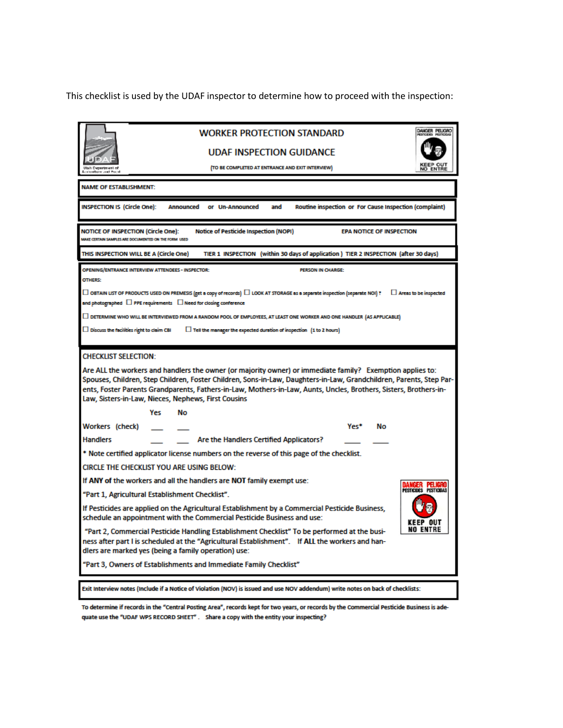This checklist is used by the UDAF inspector to determine how to proceed with the inspection:

| DANGER PELIGRO<br><b>WORKER PROTECTION STANDARD</b>                                                                                                                                                                                                                                                                                                                                                          |  |  |  |  |  |
|--------------------------------------------------------------------------------------------------------------------------------------------------------------------------------------------------------------------------------------------------------------------------------------------------------------------------------------------------------------------------------------------------------------|--|--|--|--|--|
| UDAF INSPECTION GUIDANCE                                                                                                                                                                                                                                                                                                                                                                                     |  |  |  |  |  |
| (TO BE COMPLETED AT ENTRANCE AND EXIT INTERVIEW)<br><b>Utah Department of</b><br>orientlinen and Ford                                                                                                                                                                                                                                                                                                        |  |  |  |  |  |
| <b>NAME OF ESTABLISHMENT:</b>                                                                                                                                                                                                                                                                                                                                                                                |  |  |  |  |  |
| <b>INSPECTION IS (Circle One):</b><br>and<br>Routine inspection or For Cause Inspection (complaint)<br>Announced<br>or Un-Announced                                                                                                                                                                                                                                                                          |  |  |  |  |  |
| <b>NOTICE OF INSPECTION (Circle One):</b><br><b>Notice of Pesticide Inspection (NOPI)</b><br><b>EPA NOTICE OF INSPECTION</b><br>MAKE CERTAIN SAMPLES ARE DOCUMENTED ON THE FORM USED                                                                                                                                                                                                                         |  |  |  |  |  |
| THIS INSPECTION WILL BE A (Circle One)<br>TIER 1 INSPECTION (within 30 days of application) TIER 2 INSPECTION (after 30 days)                                                                                                                                                                                                                                                                                |  |  |  |  |  |
| OPENING/ENTRANCE INTERVIEW ATTENDEES - INSPECTOR:<br><b>PERSON IN CHARGE:</b><br>OTHERS:                                                                                                                                                                                                                                                                                                                     |  |  |  |  |  |
| $\Box$ OBTAIN LIST OF PRODUCTS USED ON PREMESIS (get a copy of records) $\Box$ LOOK AT STORAGE as a separate inspection (separate NOI) ?<br>$\Box$ Areas to be inspected<br>and photographed $\,\Box$ PPE requirements $\,\Box$ Need for closing conference                                                                                                                                                  |  |  |  |  |  |
| $\Box$ DETERMINE WHO WILL BE INTERVIEWED FROM A RANDOM POOL OF EMPLOYEES, AT LEAST ONE WORKER AND ONE HANDLER (AS APPLICABLE)                                                                                                                                                                                                                                                                                |  |  |  |  |  |
| $\Box$ Tell the manager the expected duration of inspection $(1 to 2 hours)$<br>$\Box$ Discuss the facilities right to claim CBI                                                                                                                                                                                                                                                                             |  |  |  |  |  |
| <b>CHECKLIST SELECTION:</b>                                                                                                                                                                                                                                                                                                                                                                                  |  |  |  |  |  |
| Are ALL the workers and handlers the owner (or majority owner) or immediate family? Exemption applies to:<br>Spouses, Children, Step Children, Foster Children, Sons-in-Law, Daughters-in-Law, Grandchildren, Parents, Step Par-<br>ents, Foster Parents Grandparents, Fathers-in-Law, Mothers-in-Law, Aunts, Uncles, Brothers, Sisters, Brothers-in-<br>Law, Sisters-in-Law, Nieces, Nephews, First Cousins |  |  |  |  |  |
| Nο<br>Yes                                                                                                                                                                                                                                                                                                                                                                                                    |  |  |  |  |  |
| Workers (check)<br>Yes*<br>No                                                                                                                                                                                                                                                                                                                                                                                |  |  |  |  |  |
| Are the Handlers Certified Applicators?<br><b>Handlers</b>                                                                                                                                                                                                                                                                                                                                                   |  |  |  |  |  |
| * Note certified applicator license numbers on the reverse of this page of the checklist.                                                                                                                                                                                                                                                                                                                    |  |  |  |  |  |
| CIRCLE THE CHECKLIST YOU ARE USING BELOW:                                                                                                                                                                                                                                                                                                                                                                    |  |  |  |  |  |
| If ANY of the workers and all the handlers are NOT family exempt use:<br>DANGER PELIGRO<br>Pesticides pesticidas                                                                                                                                                                                                                                                                                             |  |  |  |  |  |
| "Part 1, Agricultural Establishment Checklist".                                                                                                                                                                                                                                                                                                                                                              |  |  |  |  |  |
| If Pesticides are applied on the Agricultural Establishment by a Commercial Pesticide Business,<br>schedule an appointment with the Commercial Pesticide Business and use:<br>KFFP NIIT                                                                                                                                                                                                                      |  |  |  |  |  |
| <b>NO ENTRE</b><br>"Part 2, Commercial Pesticide Handling Establishment Checklist" To be performed at the busi-<br>ness after part I is scheduled at the "Agricultural Establishment". If ALL the workers and han-<br>dlers are marked yes (being a family operation) use:                                                                                                                                   |  |  |  |  |  |
| "Part 3, Owners of Establishments and Immediate Family Checklist"                                                                                                                                                                                                                                                                                                                                            |  |  |  |  |  |
| Exit Interview notes (Include if a Notice of Violation (NOV) is issued and use NOV addendum) write notes on back of checklists:                                                                                                                                                                                                                                                                              |  |  |  |  |  |
|                                                                                                                                                                                                                                                                                                                                                                                                              |  |  |  |  |  |

To determine if records in the "Central Posting Area", records kept for two years, or records by the Commercial Pesticide Business is adequate use the "UDAF WPS RECORD SHEET". Share a copy with the entity your inspecting?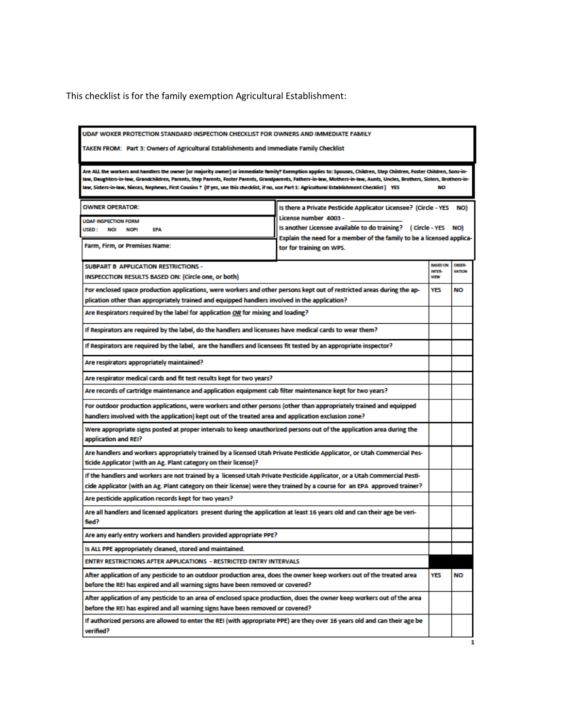This checklist is for the family exemption Agricultural Establishment:

| UDAF WOKER PROTECTION STANDARD INSPECTION CHECKLIST FOR OWNERS AND IMMEDIATE FAMILY<br>TAKEN FROM:   Part 3: Owners of Agricultural Establishments and Immediate Family Checklist                                                                                                                                                                                                                                                                                                                      |                                                                                                                                                                                                                                             |                                                        |                                |  |  |
|--------------------------------------------------------------------------------------------------------------------------------------------------------------------------------------------------------------------------------------------------------------------------------------------------------------------------------------------------------------------------------------------------------------------------------------------------------------------------------------------------------|---------------------------------------------------------------------------------------------------------------------------------------------------------------------------------------------------------------------------------------------|--------------------------------------------------------|--------------------------------|--|--|
| Are ALL the workers and handlers the owner (or majority owner) or immediate family? Exemption applies to: Spouses, Children, Step Children, Foster Children, Sons-in-<br>law, Daughters-in-law, Grandchildren, Parents, Step Parents, Foster Parents, Grandparents, Fathers-in-law, Mothers-in-law, Aunts, Uncles, Brothers, Sisters, Brothers-in-<br>law, Sisters-in-law, Nieces, Nephews, First Cousins ? (If yes, use this checklist, if no, use Part 1: Agricultural Establishment Checklist ) YES |                                                                                                                                                                                                                                             |                                                        |                                |  |  |
| <b>OWNER OPERATOR:</b><br><b>UDAF INSPECTION FORM</b><br>USED :<br><b>NOI</b><br><b>NOPI</b><br><b>EPA</b><br>Farm, Firm, or Premises Name:                                                                                                                                                                                                                                                                                                                                                            | Is there a Private Pesticide Applicator Licensee? (Circle - YES<br>NO)<br>License number 4003 -<br>Is another Licensee available to do training? (Circle - YES NO)<br>Explain the need for a member of the family to be a licensed applica- |                                                        |                                |  |  |
| SUBPART B APPLICATION RESTRICTIONS -<br>INSPECCTION RESULTS BASED ON: (Circle one, or both)                                                                                                                                                                                                                                                                                                                                                                                                            | tor for training on WPS.                                                                                                                                                                                                                    | <b>BASED ON</b><br>INTER-<br><b>VIEW</b><br><b>YES</b> | <b>OBSER-</b><br><b>VATION</b> |  |  |
| For enclosed space production applications, were workers and other persons kept out of restricted areas during the ap-<br>plication other than appropriately trained and equipped handlers involved in the application?<br>Are Respirators required by the label for application OR for mixing and loading?                                                                                                                                                                                            |                                                                                                                                                                                                                                             |                                                        | <b>NO</b>                      |  |  |
| ? If Respirators are required by the label, do the handlers and licensees have medical cards to wear them<br>If Respirators are required by the label, are the handlers and licensees fit tested by an appropriate inspector?                                                                                                                                                                                                                                                                          |                                                                                                                                                                                                                                             |                                                        |                                |  |  |
| Are respirators appropriately maintained?<br>Are respirator medical cards and fit test results kept for two years?                                                                                                                                                                                                                                                                                                                                                                                     |                                                                                                                                                                                                                                             |                                                        |                                |  |  |
| ?Are records of cartridge maintenance and application equipment cab filter maintenance kept for two years<br>For outdoor production applications, were workers and other persons (other than appropriately trained and equipped<br>?handlers involved with the application) kept out of the treated area and application exclusion zone<br>Were appropriate signs posted at proper intervals to keep unauthorized persons out of the application area during the                                       |                                                                                                                                                                                                                                             |                                                        |                                |  |  |
| application and REI?<br>Are handlers and workers appropriately trained by a licensed Utah Private Pesticide Applicator, or Utah Commercial Pes-<br>ticide Applicator (with an Ag. Plant category on their license)?                                                                                                                                                                                                                                                                                    |                                                                                                                                                                                                                                             |                                                        |                                |  |  |
| If the handlers and workers are not trained by a licensed Utah Private Pesticide Applicator, or a Utah Commercial Pesti-<br>cide Applicator (with an Ag. Plant category on their license) were they trained by a course for an EPA approved trainer?<br>Are pesticide application records kept for two years?                                                                                                                                                                                          |                                                                                                                                                                                                                                             |                                                        |                                |  |  |
| Are all handlers and licensed applicators present during the application at least 16 years old and can their age be veri-<br>fied?                                                                                                                                                                                                                                                                                                                                                                     |                                                                                                                                                                                                                                             |                                                        |                                |  |  |
| Are any early entry workers and handlers provided appropriate PPE?                                                                                                                                                                                                                                                                                                                                                                                                                                     |                                                                                                                                                                                                                                             |                                                        |                                |  |  |
| Is ALL PPE appropriately cleaned, stored and maintained.<br><b>ENTRY RESTRICTIONS AFTER APPLICATIONS - RESTRICTED ENTRY INTERVALS</b>                                                                                                                                                                                                                                                                                                                                                                  |                                                                                                                                                                                                                                             |                                                        |                                |  |  |
| After application of any pesticide to an outdoor production area, does the owner keep workers out of the treated area<br>before the REI has expired and all warning signs have been removed or covered?                                                                                                                                                                                                                                                                                                |                                                                                                                                                                                                                                             | YES                                                    | NO                             |  |  |
| After application of any pesticide to an area of enclosed space production, does the owner keep workers out of the area<br>before the REI has expired and all warning signs have been removed or covered?<br>If authorized persons are allowed to enter the REI (with appropriate PPE) are they over 16 years old and can their age be<br>verified?                                                                                                                                                    |                                                                                                                                                                                                                                             |                                                        |                                |  |  |